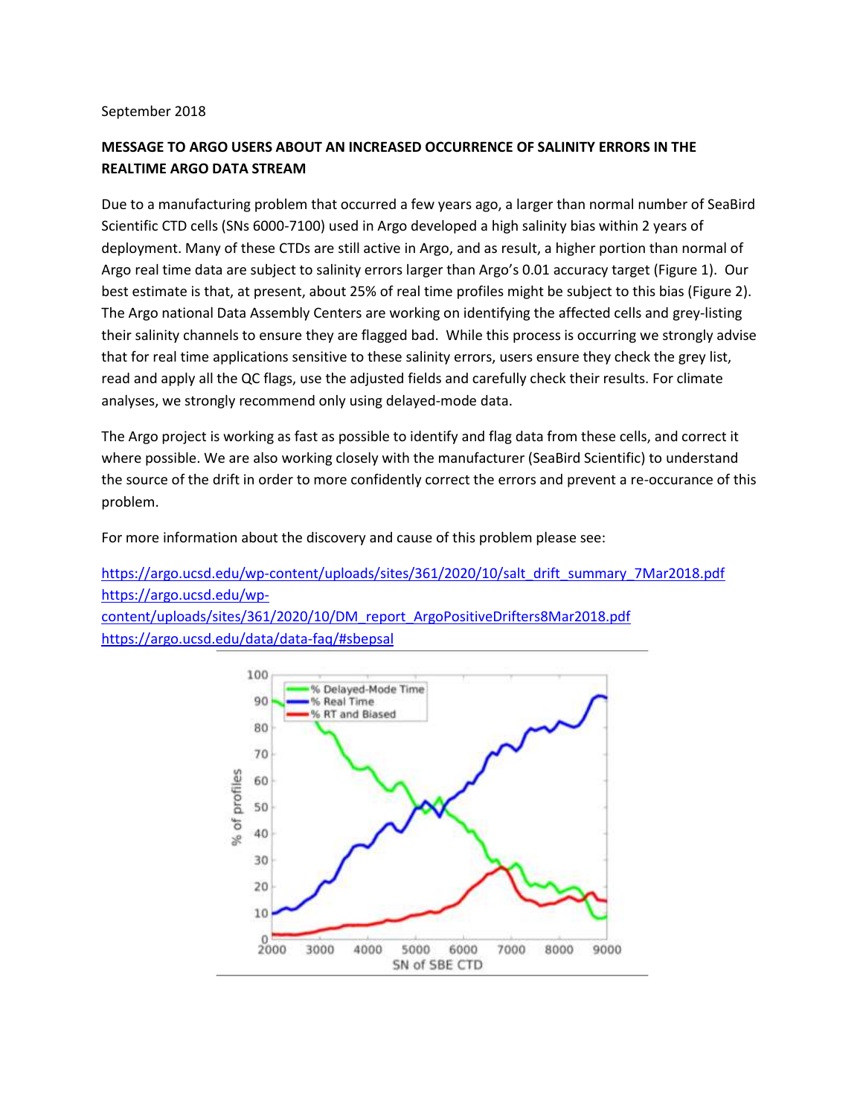## September 2018

## **MESSAGE TO ARGO USERS ABOUT AN INCREASED OCCURRENCE OF SALINITY ERRORS IN THE REALTIME ARGO DATA STREAM**

Due to a manufacturing problem that occurred a few years ago, a larger than normal number of SeaBird Scientific CTD cells (SNs 6000-7100) used in Argo developed a high salinity bias within 2 years of deployment. Many of these CTDs are still active in Argo, and as result, a higher portion than normal of Argo real time data are subject to salinity errors larger than Argo's 0.01 accuracy target (Figure 1). Our best estimate is that, at present, about 25% of real time profiles might be subject to this bias (Figure 2). The Argo national Data Assembly Centers are working on identifying the affected cells and grey-listing their salinity channels to ensure they are flagged bad. While this process is occurring we strongly advise that for real time applications sensitive to these salinity errors, users ensure they check the grey list, read and apply all the QC flags, use the adjusted fields and carefully check their results. For climate analyses, we strongly recommend only using delayed-mode data.

The Argo project is working as fast as possible to identify and flag data from these cells, and correct it where possible. We are also working closely with the manufacturer (SeaBird Scientific) to understand the source of the drift in order to more confidently correct the errors and prevent a re-occurance of this problem.

For more information about the discovery and cause of this problem please see:

[https://argo.ucsd.edu/wp-content/uploads/sites/361/2020/10/salt\\_drift\\_summary\\_7Mar2018.pdf](https://argo.ucsd.edu/wp-content/uploads/sites/361/2020/10/salt_drift_summary_7Mar2018.pdf) [https://argo.ucsd.edu/wp](https://argo.ucsd.edu/wp-content/uploads/sites/361/2020/10/DM_report_ArgoPositiveDrifters8Mar2018.pdf)[content/uploads/sites/361/2020/10/DM\\_report\\_ArgoPositiveDrifters8Mar2018.pdf](https://argo.ucsd.edu/wp-content/uploads/sites/361/2020/10/DM_report_ArgoPositiveDrifters8Mar2018.pdf) <https://argo.ucsd.edu/data/data-faq/#sbepsal>